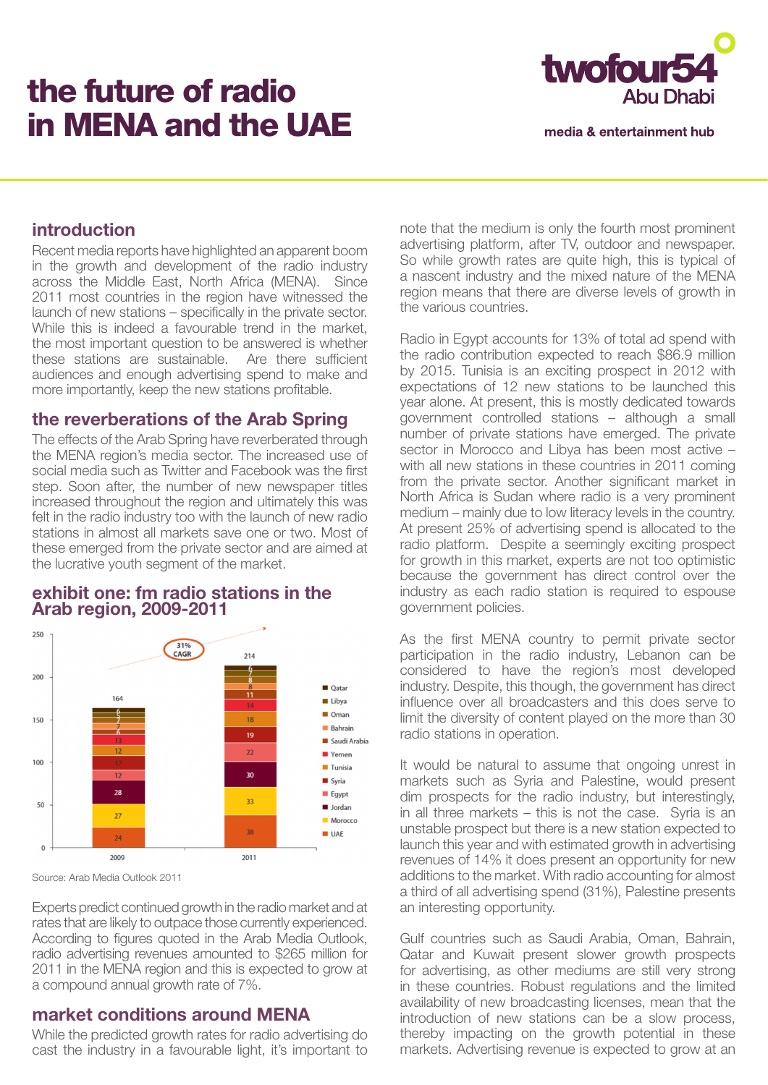# the future of radio in MENA and the UAE



media & entertainment hub

## **introduction**

Recent media reports have highlighted an apparent boom in the growth and development of the radio industry across the Middle East, North Africa (MENA). Since 2011 most countries in the region have witnessed the launch of new stations – specifically in the private sector. While this is indeed a favourable trend in the market, the most important question to be answered is whether these stations are sustainable. Are there sufficient audiences and enough advertising spend to make and more importantly, keep the new stations profitable.

#### **the reverberations of the Arab Spring**

The effects of the Arab Spring have reverberated through the MENA region's media sector. The increased use of social media such as Twitter and Facebook was the first step. Soon after, the number of new newspaper titles increased throughout the region and ultimately this was felt in the radio industry too with the launch of new radio stations in almost all markets save one or two. Most of these emerged from the private sector and are aimed at the lucrative youth segment of the market.



#### **exhibit one: fm radio stations in the Arab region, 2009-2011**

Source: Arab Media Outlook 2011

Experts predict continued growth in the radio market and at rates that are likely to outpace those currently experienced. According to figures quoted in the Arab Media Outlook, radio advertising revenues amounted to \$265 million for 2011 in the MENA region and this is expected to grow at a compound annual growth rate of 7%.

## **market conditions around MENA**

While the predicted growth rates for radio advertising do cast the industry in a favourable light, it's important to note that the medium is only the fourth most prominent advertising platform, after TV, outdoor and newspaper. So while growth rates are quite high, this is typical of a nascent industry and the mixed nature of the MENA region means that there are diverse levels of growth in the various countries.

Radio in Egypt accounts for 13% of total ad spend with the radio contribution expected to reach \$86.9 million by 2015. Tunisia is an exciting prospect in 2012 with expectations of 12 new stations to be launched this year alone. At present, this is mostly dedicated towards government controlled stations – although a small number of private stations have emerged. The private sector in Morocco and Libya has been most active – with all new stations in these countries in 2011 coming from the private sector. Another significant market in North Africa is Sudan where radio is a very prominent medium – mainly due to low literacy levels in the country. At present 25% of advertising spend is allocated to the radio platform. Despite a seemingly exciting prospect for growth in this market, experts are not too optimistic because the government has direct control over the industry as each radio station is required to espouse government policies.

As the first MENA country to permit private sector participation in the radio industry, Lebanon can be considered to have the region's most developed industry. Despite, this though, the government has direct influence over all broadcasters and this does serve to limit the diversity of content played on the more than 30 radio stations in operation.

It would be natural to assume that ongoing unrest in markets such as Syria and Palestine, would present dim prospects for the radio industry, but interestingly, in all three markets – this is not the case. Syria is an unstable prospect but there is a new station expected to launch this year and with estimated growth in advertising revenues of 14% it does present an opportunity for new additions to the market. With radio accounting for almost a third of all advertising spend (31%), Palestine presents an interesting opportunity.

Gulf countries such as Saudi Arabia, Oman, Bahrain, Qatar and Kuwait present slower growth prospects for advertising, as other mediums are still very strong in these countries. Robust regulations and the limited availability of new broadcasting licenses, mean that the introduction of new stations can be a slow process, thereby impacting on the growth potential in these markets. Advertising revenue is expected to grow at an